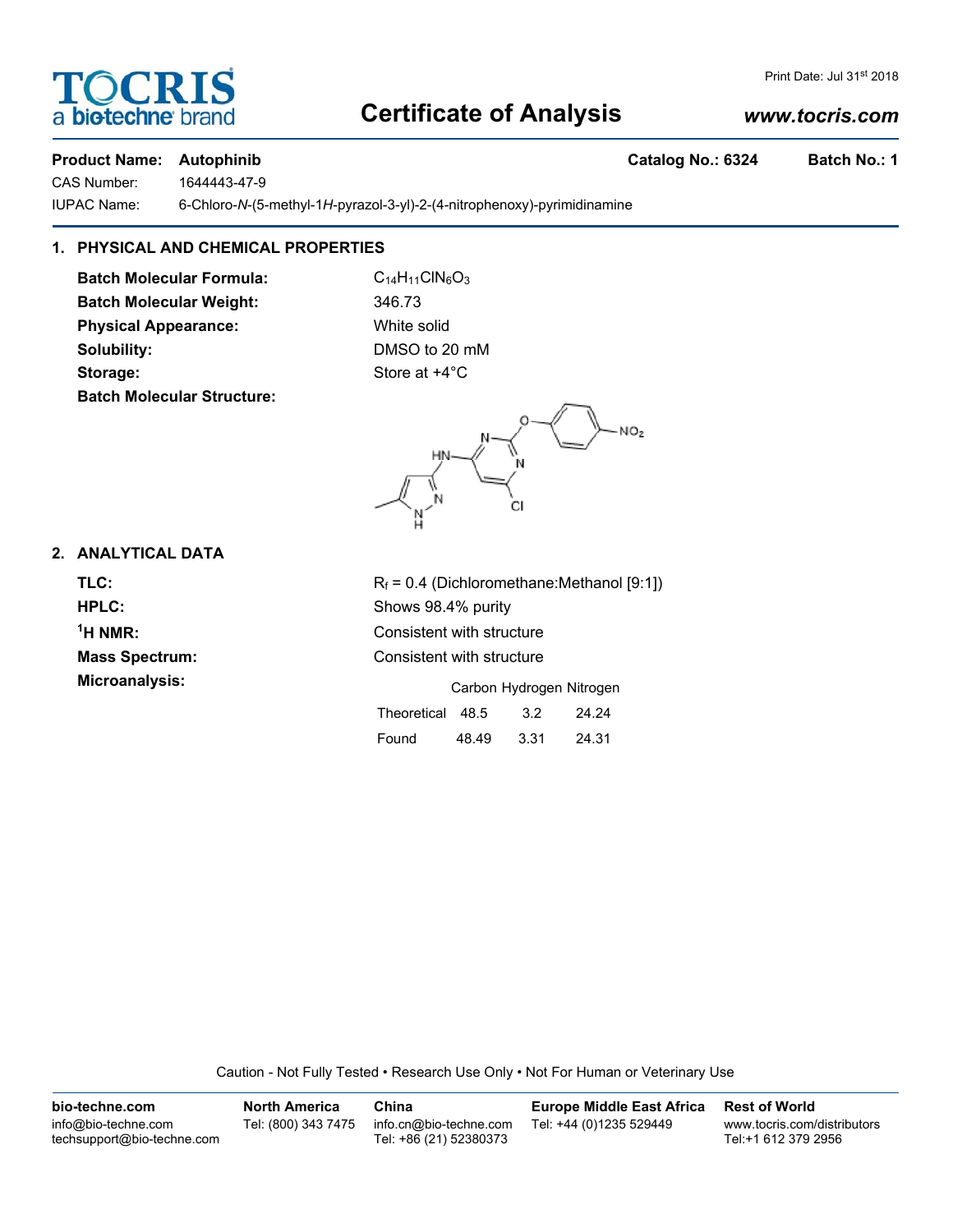## **Certificate of Analysis**

#### *www.tocris.com*

Print Date: Jul 31st 2018

#### **Product Name: Autophinib Catalog No.: 6324 Batch No.: 1**

OCRI

a **biotechne** bi

CAS Number: 1644443-47-9

IUPAC Name: 6-Chloro-*N*-(5-methyl-1*H*-pyrazol-3-yl)-2-(4-nitrophenoxy)-pyrimidinamine

### **1. PHYSICAL AND CHEMICAL PROPERTIES**

**Batch Molecular Formula:** C<sub>14</sub>H<sub>11</sub>ClN<sub>6</sub>O<sub>3</sub> **Batch Molecular Weight:** 346.73 **Physical Appearance:** White solid **Solubility:** DMSO to 20 mM **Storage:** Store at  $+4^{\circ}$ C **Batch Molecular Structure:**



#### **2. ANALYTICAL DATA**

 $<sup>1</sup>H NMR$ :</sup>

**TLC:**  $R_f = 0.4$  (Dichloromethane:Methanol [9:1]) **HPLC:** Shows 98.4% purity **Consistent with structure Mass Spectrum:** Consistent with structure **Microanalysis:** Microanalysis: **Carbon Hydrogen Nitrogen** Theoretical 48.5 3.2 24.24

Found 48.49 3.31 24.31

Caution - Not Fully Tested • Research Use Only • Not For Human or Veterinary Use

| bio-techne.com                                    | <b>North America</b> | China                                            | <b>Europe Middle East Africa</b> | <b>Rest of World</b>                               |
|---------------------------------------------------|----------------------|--------------------------------------------------|----------------------------------|----------------------------------------------------|
| info@bio-techne.com<br>techsupport@bio-techne.com | Tel: (800) 343 7475  | info.cn@bio-techne.com<br>Tel: +86 (21) 52380373 | Tel: +44 (0)1235 529449          | www.tocris.com/distributors<br>Tel:+1 612 379 2956 |